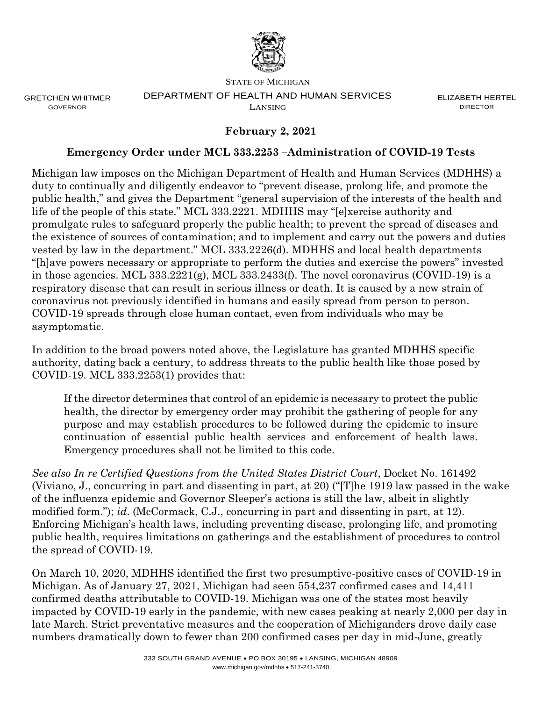

GRETCHEN WHITMER GOVERNOR

#### STATE OF MICHIGAN DEPARTMENT OF HEALTH AND HUMAN SERVICES LANSING

ELIZABETH HERTEL DIRECTOR

# **February 2, 2021**

#### **Emergency Order under MCL 333.2253 –Administration of COVID-19 Tests**

Michigan law imposes on the Michigan Department of Health and Human Services (MDHHS) a duty to continually and diligently endeavor to "prevent disease, prolong life, and promote the public health," and gives the Department "general supervision of the interests of the health and life of the people of this state." MCL 333.2221. MDHHS may "[e]xercise authority and promulgate rules to safeguard properly the public health; to prevent the spread of diseases and the existence of sources of contamination; and to implement and carry out the powers and duties vested by law in the department." MCL 333.2226(d). MDHHS and local health departments "[h]ave powers necessary or appropriate to perform the duties and exercise the powers" invested in those agencies. MCL 333.2221(g), MCL 333.2433(f). The novel coronavirus (COVID-19) is a respiratory disease that can result in serious illness or death. It is caused by a new strain of coronavirus not previously identified in humans and easily spread from person to person. COVID-19 spreads through close human contact, even from individuals who may be asymptomatic.

In addition to the broad powers noted above, the Legislature has granted MDHHS specific authority, dating back a century, to address threats to the public health like those posed by COVID-19. MCL 333.2253(1) provides that:

If the director determines that control of an epidemic is necessary to protect the public health, the director by emergency order may prohibit the gathering of people for any purpose and may establish procedures to be followed during the epidemic to insure continuation of essential public health services and enforcement of health laws. Emergency procedures shall not be limited to this code.

*See also In re Certified Questions from the United States District Court*, Docket No. 161492 (Viviano, J., concurring in part and dissenting in part, at 20) ("[T]he 1919 law passed in the wake of the influenza epidemic and Governor Sleeper's actions is still the law, albeit in slightly modified form."); *id*. (McCormack, C.J., concurring in part and dissenting in part, at 12). Enforcing Michigan's health laws, including preventing disease, prolonging life, and promoting public health, requires limitations on gatherings and the establishment of procedures to control the spread of COVID-19.

On March 10, 2020, MDHHS identified the first two presumptive-positive cases of COVID-19 in Michigan. As of January 27, 2021, Michigan had seen 554,237 confirmed cases and 14,411 confirmed deaths attributable to COVID-19. Michigan was one of the states most heavily impacted by COVID-19 early in the pandemic, with new cases peaking at nearly 2,000 per day in late March. Strict preventative measures and the cooperation of Michiganders drove daily case numbers dramatically down to fewer than 200 confirmed cases per day in mid-June, greatly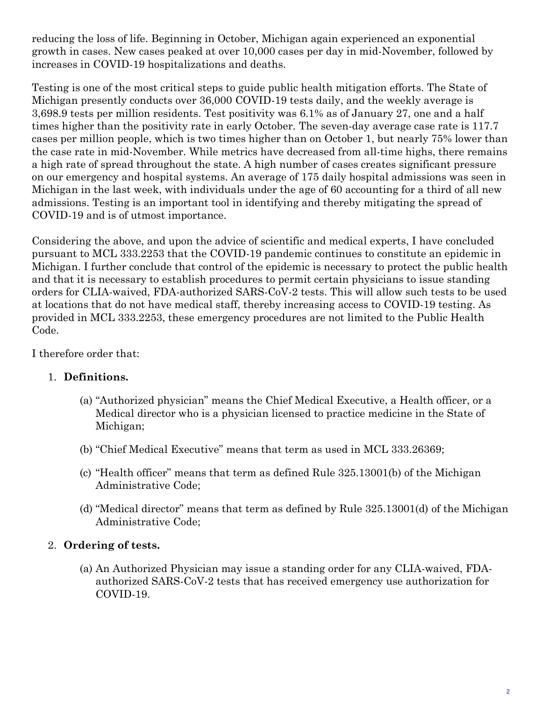reducing the loss of life. Beginning in October, Michigan again experienced an exponential growth in cases. New cases peaked at over 10,000 cases per day in mid-November, followed by increases in COVID-19 hospitalizations and deaths.

Testing is one of the most critical steps to guide public health mitigation efforts. The State of Michigan presently conducts over 36,000 COVID-19 tests daily, and the weekly average is 3,698.9 tests per million residents. Test positivity was 6.1% as of January 27, one and a half times higher than the positivity rate in early October. The seven-day average case rate is 117.7 cases per million people, which is two times higher than on October 1, but nearly 75% lower than the case rate in mid-November. While metrics have decreased from all-time highs, there remains a high rate of spread throughout the state. A high number of cases creates significant pressure on our emergency and hospital systems. An average of 175 daily hospital admissions was seen in Michigan in the last week, with individuals under the age of 60 accounting for a third of all new admissions. Testing is an important tool in identifying and thereby mitigating the spread of COVID-19 and is of utmost importance.

Considering the above, and upon the advice of scientific and medical experts, I have concluded pursuant to MCL 333.2253 that the COVID-19 pandemic continues to constitute an epidemic in Michigan. I further conclude that control of the epidemic is necessary to protect the public health and that it is necessary to establish procedures to permit certain physicians to issue standing orders for CLIA-waived, FDA-authorized SARS-CoV-2 tests. This will allow such tests to be used at locations that do not have medical staff, thereby increasing access to COVID-19 testing. As provided in MCL 333.2253, these emergency procedures are not limited to the Public Health Code.

I therefore order that:

# 1. **Definitions.**

- (a) "Authorized physician" means the Chief Medical Executive, a Health officer, or a Medical director who is a physician licensed to practice medicine in the State of Michigan;
- (b) "Chief Medical Executive" means that term as used in MCL 333.26369;
- (c) "Health officer" means that term as defined Rule 325.13001(b) of the Michigan Administrative Code;
- (d) "Medical director" means that term as defined by Rule 325.13001(d) of the Michigan Administrative Code;

# 2. **Ordering of tests.**

(a) An Authorized Physician may issue a standing order for any CLIA-waived, FDAauthorized SARS-CoV-2 tests that has received emergency use authorization for COVID-19.